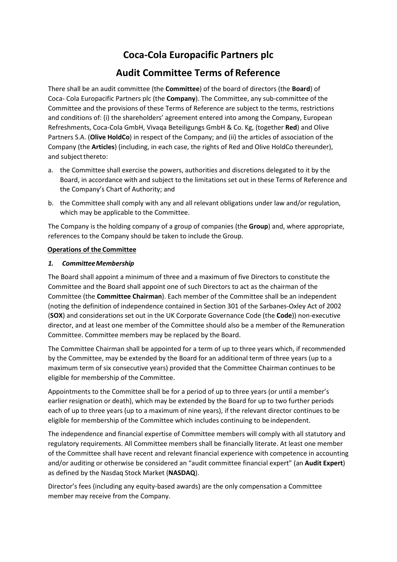# **Coca-Cola Europacific Partners plc**

## **Audit Committee Terms of Reference**

There shall be an audit committee (the **Committee**) of the board of directors (the **Board**) of Coca- Cola Europacific Partners plc (the **Company**). The Committee, any sub-committee of the Committee and the provisions of these Terms of Reference are subject to the terms, restrictions and conditions of: (i) the shareholders' agreement entered into among the Company, European Refreshments, Coca-Cola GmbH, Vivaqa Beteiligungs GmbH & Co. Kg, (together **Red**) and Olive Partners S.A. (**Olive HoldCo**) in respect of the Company; and (ii) the articles of association of the Company (the **Articles**) (including, in each case, the rights of Red and Olive HoldCo thereunder), and subject thereto:

- a. the Committee shall exercise the powers, authorities and discretions delegated to it by the Board, in accordance with and subject to the limitations set out in these Terms of Reference and the Company's Chart of Authority; and
- b. the Committee shall comply with any and all relevant obligations under law and/or regulation, which may be applicable to the Committee.

The Company is the holding company of a group of companies (the **Group**) and, where appropriate, references to the Company should be taken to include the Group.

## **Operations of the Committee**

## *1. Committee Membership*

The Board shall appoint a minimum of three and a maximum of five Directors to constitute the Committee and the Board shall appoint one of such Directors to act as the chairman of the Committee (the **Committee Chairman**). Each member of the Committee shall be an independent (noting the definition of independence contained in Section 301 of the Sarbanes-Oxley Act of 2002 (**SOX**) and considerations set out in the UK Corporate Governance Code (the **Code**)) non-executive director, and at least one member of the Committee should also be a member of the Remuneration Committee. Committee members may be replaced by the Board.

The Committee Chairman shall be appointed for a term of up to three years which, if recommended by the Committee, may be extended by the Board for an additional term of three years (up to a maximum term of six consecutive years) provided that the Committee Chairman continues to be eligible for membership of the Committee.

Appointments to the Committee shall be for a period of up to three years (or until a member's earlier resignation or death), which may be extended by the Board for up to two further periods each of up to three years (up to a maximum of nine years), if the relevant director continues to be eligible for membership of the Committee which includes continuing to be independent.

The independence and financial expertise of Committee members will comply with all statutory and regulatory requirements. All Committee members shall be financially literate. At least one member of the Committee shall have recent and relevant financial experience with competence in accounting and/or auditing or otherwise be considered an "audit committee financial expert" (an **Audit Expert**) as defined by the Nasdaq Stock Market (**NASDAQ**).

Director's fees (including any equity-based awards) are the only compensation a Committee member may receive from the Company.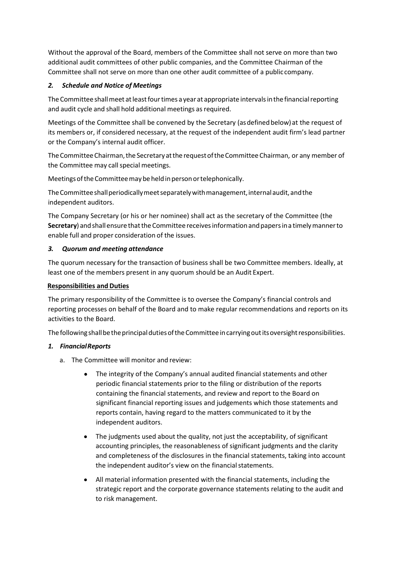Without the approval of the Board, members of the Committee shall not serve on more than two additional audit committees of other public companies, and the Committee Chairman of the Committee shall not serve on more than one other audit committee of a public company.

## *2. Schedule and Notice of Meetings*

The Committee shall meet at least four times a year at appropriate intervals in the financial reporting and audit cycle and shall hold additional meetings as required.

Meetings of the Committee shall be convened by the Secretary (as defined below) at the request of its members or, if considered necessary, at the request of the independent audit firm's lead partner or the Company's internal audit officer.

The Committee Chairman, the Secretary at the request of the Committee Chairman, or any member of the Committee may call special meetings.

Meetings of the Committee may be held in person or telephonically.

The Committee shall periodically meet separately with management, internal audit, and the independent auditors.

The Company Secretary (or his or her nominee) shall act as the secretary of the Committee (the **Secretary**) and shall ensure that the Committee receives information and papers in a timely manner to enable full and proper consideration of the issues.

## *3. Quorum and meeting attendance*

The quorum necessary for the transaction of business shall be two Committee members. Ideally, at least one of the members present in any quorum should be an Audit Expert.

## **Responsibilities and Duties**

The primary responsibility of the Committee is to oversee the Company's financial controls and reporting processes on behalf of the Board and to make regular recommendations and reports on its activities to the Board.

The following shall be the principal duties of the Committee in carrying out its oversight responsibilities.

## *1. Financial Reports*

- a. The Committee will monitor and review:
	- The integrity of the Company's annual audited financial statements and other periodic financial statements prior to the filing or distribution of the reports containing the financial statements, and review and report to the Board on significant financial reporting issues and judgements which those statements and reports contain, having regard to the matters communicated to it by the independent auditors.
	- The judgments used about the quality, not just the acceptability, of significant accounting principles, the reasonableness of significant judgments and the clarity and completeness of the disclosures in the financial statements, taking into account the independent auditor's view on the financial statements.
	- All material information presented with the financial statements, including the strategic report and the corporate governance statements relating to the audit and to risk management.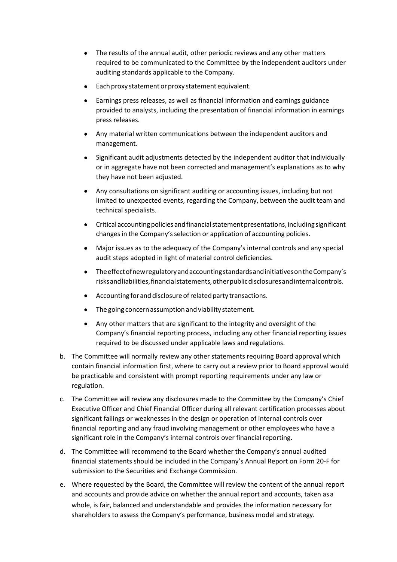- The results of the annual audit, other periodic reviews and any other matters required to be communicated to the Committee by the independent auditors under auditing standards applicable to the Company.
- Each proxy statement or proxy statement equivalent.
- Earnings press releases, as well as financial information and earnings guidance provided to analysts, including the presentation of financial information in earnings press releases.
- Any material written communications between the independent auditors and management.
- Significant audit adjustments detected by the independent auditor that individually or in aggregate have not been corrected and management's explanations as to why they have not been adjusted.
- Any consultations on significant auditing or accounting issues, including but not limited to unexpected events, regarding the Company, between the audit team and technical specialists.
- Critical accounting policies and financial statement presentations, including significant changes in the Company's selection or application of accounting policies.
- Major issues as to the adequacy of the Company's internal controls and any special audit steps adopted in light of material control deficiencies.
- The effect of new regulatory and accounting standards and initiatives on the Company's risks and liabilities, financial statements, other public disclosures and internal controls.
- Accounting for and disclosure of related party transactions.
- The going concern assumption and viability statement.
- Any other matters that are significant to the integrity and oversight of the Company's financial reporting process, including any other financial reporting issues required to be discussed under applicable laws and regulations.
- b. The Committee will normally review any other statements requiring Board approval which contain financial information first, where to carry out a review prior to Board approval would be practicable and consistent with prompt reporting requirements under any law or regulation.
- c. The Committee will review any disclosures made to the Committee by the Company's Chief Executive Officer and Chief Financial Officer during all relevant certification processes about significant failings or weaknesses in the design or operation of internal controls over financial reporting and any fraud involving management or other employees who have a significant role in the Company's internal controls over financial reporting.
- d. The Committee will recommend to the Board whether the Company's annual audited financial statements should be included in the Company's Annual Report on Form 20-F for submission to the Securities and Exchange Commission.
- e. Where requested by the Board, the Committee will review the content of the annual report and accounts and provide advice on whether the annual report and accounts, taken as a whole, is fair, balanced and understandable and provides the information necessary for shareholders to assess the Company's performance, business model and strategy.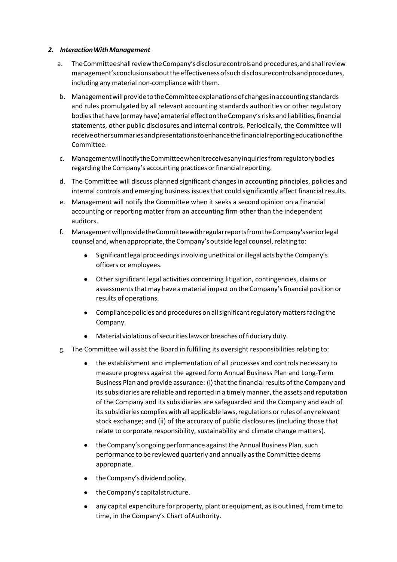#### *2. Interaction With Management*

- a. The Committee shall review the Company's disclosure controls and procedures, and shall review management's conclusions about the effectiveness of such disclosure controls and procedures, including any material non-compliance with them.
- b. Management will provide to the Committee explanations of changes in accounting standards and rules promulgated by all relevant accounting standards authorities or other regulatory bodies that have (or may have) a material effect on the Company's risks and liabilities, financial statements, other public disclosures and internal controls. Periodically, the Committee will receive other summaries and presentations to enhance the financial reporting education of the Committee.
- c. Management will notify the Committee when it receives any inquiries from regulatory bodies regarding the Company's accounting practices or financial reporting.
- d. The Committee will discuss planned significant changes in accounting principles, policies and internal controls and emerging business issues that could significantly affect financial results.
- e. Management will notify the Committee when it seeks a second opinion on a financial accounting or reporting matter from an accounting firm other than the independent auditors.
- f. Management will provide the Committee with regular reports from the Company's senior legal counsel and, when appropriate, the Company's outside legal counsel, relating to:
	- Significant legal proceedings involving unethical or illegal acts by the Company's officers or employees.
	- Other significant legal activities concerning litigation, contingencies, claims or assessments that may have a material impact on the Company's financial position or results of operations.
	- Compliance policies and procedures on all significant regulatory matters facing the Company.
	- Material violations of securities laws or breaches of fiduciary duty.
- g. The Committee will assist the Board in fulfilling its oversight responsibilities relating to:
	- the establishment and implementation of all processes and controls necessary to measure progress against the agreed form Annual Business Plan and Long-Term Business Plan and provide assurance: (i) that the financial results of the Company and its subsidiaries are reliable and reported in a timely manner, the assets and reputation of the Company and its subsidiaries are safeguarded and the Company and each of its subsidiaries complies with all applicable laws, regulations or rules of any relevant stock exchange; and (ii) of the accuracy of public disclosures (including those that relate to corporate responsibility, sustainability and climate change matters).
	- the Company's ongoing performance against the Annual Business Plan, such performance to be reviewed quarterly and annually as the Committee deems appropriate.
	- the Company's dividend policy.
	- the Company's capital structure.
	- any capital expenditure for property, plant or equipment, as is outlined, from time to time, in the Company's Chart of Authority.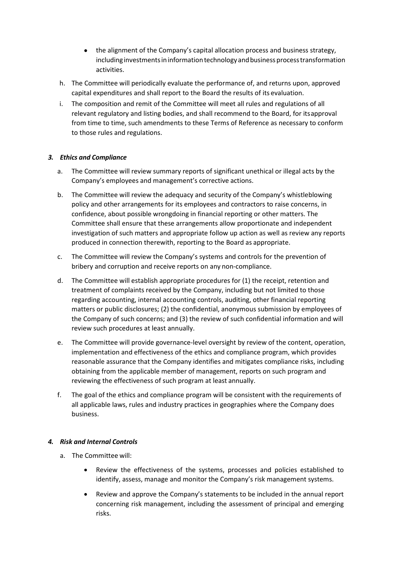- the alignment of the Company's capital allocation process and business strategy, including investments in information technology and business process transformation activities.
- h. The Committee will periodically evaluate the performance of, and returns upon, approved capital expenditures and shall report to the Board the results of its evaluation.
- i. The composition and remit of the Committee will meet all rules and regulations of all relevant regulatory and listing bodies, and shall recommend to the Board, for its approval from time to time, such amendments to these Terms of Reference as necessary to conform to those rules and regulations.

## *3. Ethics and Compliance*

- a. The Committee will review summary reports of significant unethical or illegal acts by the Company's employees and management's corrective actions.
- b. The Committee will review the adequacy and security of the Company's whistleblowing policy and other arrangements for its employees and contractors to raise concerns, in confidence, about possible wrongdoing in financial reporting or other matters. The Committee shall ensure that these arrangements allow proportionate and independent investigation of such matters and appropriate follow up action as well as review any reports produced in connection therewith, reporting to the Board as appropriate.
- c. The Committee will review the Company's systems and controls for the prevention of bribery and corruption and receive reports on any non-compliance.
- d. The Committee will establish appropriate procedures for (1) the receipt, retention and treatment of complaints received by the Company, including but not limited to those regarding accounting, internal accounting controls, auditing, other financial reporting matters or public disclosures; (2) the confidential, anonymous submission by employees of the Company of such concerns; and (3) the review of such confidential information and will review such procedures at least annually.
- e. The Committee will provide governance-level oversight by review of the content, operation, implementation and effectiveness of the ethics and compliance program, which provides reasonable assurance that the Company identifies and mitigates compliance risks, including obtaining from the applicable member of management, reports on such program and reviewing the effectiveness of such program at least annually.
- f. The goal of the ethics and compliance program will be consistent with the requirements of all applicable laws, rules and industry practices in geographies where the Company does business.

#### *4. Risk and Internal Controls*

- a. The Committee will:
	- Review the effectiveness of the systems, processes and policies established to identify, assess, manage and monitor the Company's risk management systems.
	- Review and approve the Company's statements to be included in the annual report concerning risk management, including the assessment of principal and emerging risks.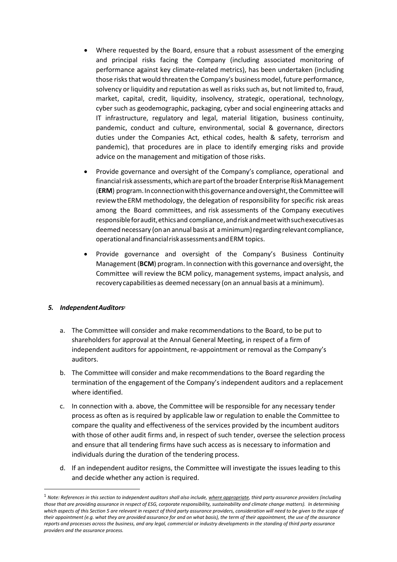- Where requested by the Board, ensure that a robust assessment of the emerging and principal risks facing the Company (including associated monitoring of performance against key climate-related metrics), has been undertaken (including those risks that would threaten the Company's business model, future performance, solvency or liquidity and reputation as well as risks such as, but not limited to, fraud, market, capital, credit, liquidity, insolvency, strategic, operational, technology, cyber such as geodemographic, packaging, cyber and social engineering attacks and IT infrastructure, regulatory and legal, material litigation, business continuity, pandemic, conduct and culture, environmental, social & governance, directors duties under the Companies Act, ethical codes, health & safety, terrorism and pandemic), that procedures are in place to identify emerging risks and provide advice on the management and mitigation of those risks.
- Provide governance and oversight of the Company's compliance, operational and financial risk assessments, which are part of the broader Enterprise Risk Management (**ERM**) program. In connection with this governance and oversight, the Committee will review the ERM methodology, the delegation of responsibility for specific risk areas among the Board committees, and risk assessments of the Company executives responsible for audit, ethics and compliance, and risk and meet with such executives as deemed necessary (on an annual basis at a minimum) regarding relevant compliance, operational and financial risk assessments and ERM topics.
- Provide governance and oversight of the Company's Business Continuity Management (**BCM**) program. In connection with this governance and oversight, the Committee will review the BCM policy, management systems, impact analysis, and recovery capabilities as deemed necessary (on an annual basis at a minimum).

## *5. Independent Auditors<sup>1</sup>*

- a. The Committee will consider and make recommendations to the Board, to be put to shareholders for approval at the Annual General Meeting, in respect of a firm of independent auditors for appointment, re-appointment or removal as the Company's auditors.
- b. The Committee will consider and make recommendations to the Board regarding the termination of the engagement of the Company's independent auditors and a replacement where identified.
- c. In connection with a. above, the Committee will be responsible for any necessary tender process as often as is required by applicable law or regulation to enable the Committee to compare the quality and effectiveness of the services provided by the incumbent auditors with those of other audit firms and, in respect of such tender, oversee the selection process and ensure that all tendering firms have such access as is necessary to information and individuals during the duration of the tendering process.
- d. If an independent auditor resigns, the Committee will investigate the issues leading to this and decide whether any action is required.

<sup>1</sup> *Note: References in this section to independent auditors shall also include, where appropriate, third party assurance providers (including those that are providing assurance in respect of ESG, corporate responsibility, sustainability and climate change matters). In determining which aspects of this Section 5 are relevant in respect of third party assurance providers, consideration will need to be given to the scope of their appointment (e.g. what they are provided assurance for and on what basis), the term of their appointment, the use of the assurance reports and processes across the business, and any legal, commercial or industry developments in the standing of third party assurance providers and the assurance process.*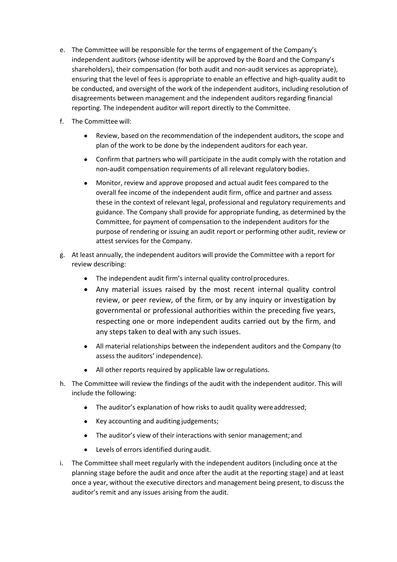- e. The Committee will be responsible for the terms of engagement of the Company's independent auditors (whose identity will be approved by the Board and the Company's shareholders), their compensation (for both audit and non-audit services as appropriate), ensuring that the level of fees is appropriate to enable an effective and high-quality audit to be conducted, and oversight of the work of the independent auditors, including resolution of disagreements between management and the independent auditors regarding financial reporting. The independent auditor will report directly to the Committee.
- f. The Committee will:
	- Review, based on the recommendation of the independent auditors, the scope and plan of the work to be done by the independent auditors for each year.
	- Confirm that partners who will participate in the audit comply with the rotation and non-audit compensation requirements of all relevant regulatory bodies.
	- Monitor, review and approve proposed and actual audit fees compared to the overall fee income of the independent audit firm, office and partner and assess these in the context of relevant legal, professional and regulatory requirements and guidance. The Company shall provide for appropriate funding, as determined by the Committee, for payment of compensation to the independent auditors for the purpose of rendering or issuing an audit report or performing other audit, review or attest services for the Company.
- g. At least annually, the independent auditors will provide the Committee with a report for review describing:
	- The independent audit firm's internal quality control procedures.
	- Any material issues raised by the most recent internal quality control review, or peer review, of the firm, or by any inquiry or investigation by governmental or professional authorities within the preceding five years, respecting one or more independent audits carried out by the firm, and any steps taken to deal with any such issues.
	- All material relationships between the independent auditors and the Company (to assess the auditors' independence).
	- All other reports required by applicable law or regulations.
- h. The Committee will review the findings of the audit with the independent auditor. This will include the following:
	- The auditor's explanation of how risks to audit quality were addressed;
	- Key accounting and auditing judgements;
	- The auditor's view of their interactions with senior management; and
	- Levels of errors identified during audit.
- i. The Committee shall meet regularly with the independent auditors (including once at the planning stage before the audit and once after the audit at the reporting stage) and at least once a year, without the executive directors and management being present, to discuss the auditor's remit and any issues arising from the audit.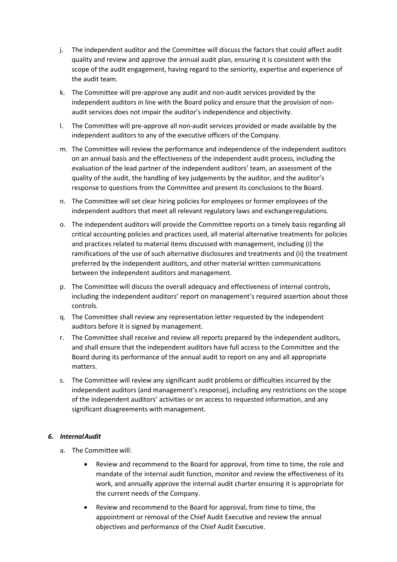- j. The independent auditor and the Committee will discuss the factors that could affect audit quality and review and approve the annual audit plan, ensuring it is consistent with the scope of the audit engagement, having regard to the seniority, expertise and experience of the audit team.
- k. The Committee will pre-approve any audit and non-audit services provided by the independent auditors in line with the Board policy and ensure that the provision of nonaudit services does not impair the auditor's independence and objectivity.
- l. The Committee will pre-approve all non-audit services provided or made available by the independent auditors to any of the executive officers of the Company.
- m. The Committee will review the performance and independence of the independent auditors on an annual basis and the effectiveness of the independent audit process, including the evaluation of the lead partner of the independent auditors' team, an assessment of the quality of the audit, the handling of key judgements by the auditor, and the auditor's response to questions from the Committee and present its conclusions to the Board.
- n. The Committee will set clear hiring policies for employees or former employees of the independent auditors that meet all relevant regulatory laws and exchange regulations.
- o. The independent auditors will provide the Committee reports on a timely basis regarding all critical accounting policies and practices used, all material alternative treatments for policies and practices related to material items discussed with management, including (i) the ramifications of the use of such alternative disclosures and treatments and (ii) the treatment preferred by the independent auditors, and other material written communications between the independent auditors and management.
- p. The Committee will discuss the overall adequacy and effectiveness of internal controls, including the independent auditors' report on management's required assertion about those controls.
- q. The Committee shall review any representation letter requested by the independent auditors before it is signed by management.
- r. The Committee shall receive and review all reports prepared by the independent auditors, and shall ensure that the independent auditors have full access to the Committee and the Board during its performance of the annual audit to report on any and all appropriate matters.
- s. The Committee will review any significant audit problems or difficulties incurred by the independent auditors (and management's response), including any restrictions on the scope of the independent auditors' activities or on access to requested information, and any significant disagreements with management.

#### *6. Internal Audit*

- a. The Committee will:
	- Review and recommend to the Board for approval, from time to time, the role and mandate of the internal audit function, monitor and review the effectiveness of its work, and annually approve the internal audit charter ensuring it is appropriate for the current needs of the Company.
	- Review and recommend to the Board for approval, from time to time, the appointment or removal of the Chief Audit Executive and review the annual objectives and performance of the Chief Audit Executive.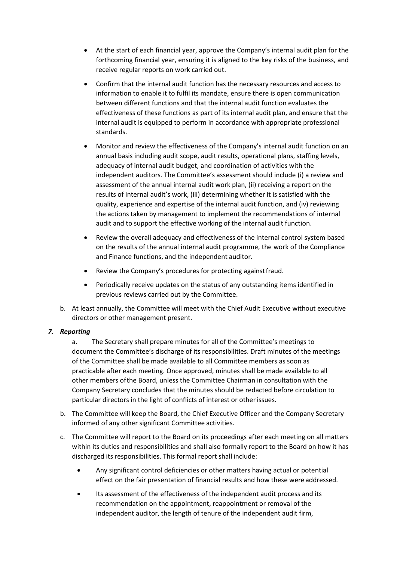- At the start of each financial year, approve the Company's internal audit plan for the forthcoming financial year, ensuring it is aligned to the key risks of the business, and receive regular reports on work carried out.
- Confirm that the internal audit function has the necessary resources and access to information to enable it to fulfil its mandate, ensure there is open communication between different functions and that the internal audit function evaluates the effectiveness of these functions as part of its internal audit plan, and ensure that the internal audit is equipped to perform in accordance with appropriate professional standards.
- Monitor and review the effectiveness of the Company's internal audit function on an annual basis including audit scope, audit results, operational plans, staffing levels, adequacy of internal audit budget, and coordination of activities with the independent auditors. The Committee's assessment should include (i) a review and assessment of the annual internal audit work plan, (ii) receiving a report on the results of internal audit's work, (iii) determining whether it is satisfied with the quality, experience and expertise of the internal audit function, and (iv) reviewing the actions taken by management to implement the recommendations of internal audit and to support the effective working of the internal audit function.
- Review the overall adequacy and effectiveness of the internal control system based on the results of the annual internal audit programme, the work of the Compliance and Finance functions, and the independent auditor.
- Review the Company's procedures for protecting against fraud.
- Periodically receive updates on the status of any outstanding items identified in previous reviews carried out by the Committee.
- b. At least annually, the Committee will meet with the Chief Audit Executive without executive directors or other management present.

## *7. Reporting*

a. The Secretary shall prepare minutes for all of the Committee's meetings to document the Committee's discharge of its responsibilities. Draft minutes of the meetings of the Committee shall be made available to all Committee members as soon as practicable after each meeting. Once approved, minutes shall be made available to all other members of the Board, unless the Committee Chairman in consultation with the Company Secretary concludes that the minutes should be redacted before circulation to particular directors in the light of conflicts of interest or other issues.

- b. The Committee will keep the Board, the Chief Executive Officer and the Company Secretary informed of any other significant Committee activities.
- c. The Committee will report to the Board on its proceedings after each meeting on all matters within its duties and responsibilities and shall also formally report to the Board on how it has discharged its responsibilities. This formal report shall include:
	- Any significant control deficiencies or other matters having actual or potential effect on the fair presentation of financial results and how these were addressed.
	- Its assessment of the effectiveness of the independent audit process and its recommendation on the appointment, reappointment or removal of the independent auditor, the length of tenure of the independent audit firm,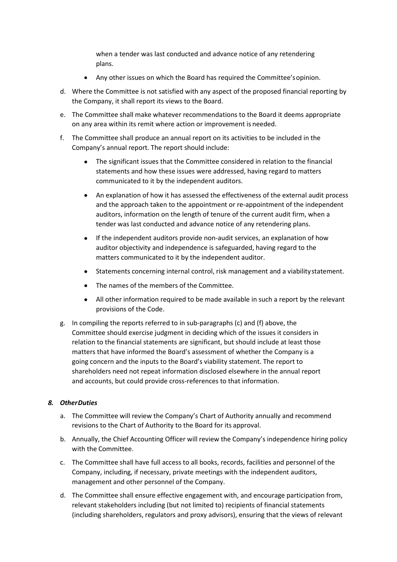when a tender was last conducted and advance notice of any retendering plans.

- Any other issues on which the Board has required the Committee's opinion.
- d. Where the Committee is not satisfied with any aspect of the proposed financial reporting by the Company, it shall report its views to the Board.
- e. The Committee shall make whatever recommendations to the Board it deems appropriate on any area within its remit where action or improvement is needed.
- f. The Committee shall produce an annual report on its activities to be included in the Company's annual report. The report should include:
	- The significant issues that the Committee considered in relation to the financial statements and how these issues were addressed, having regard to matters communicated to it by the independent auditors.
	- An explanation of how it has assessed the effectiveness of the external audit process and the approach taken to the appointment or re-appointment of the independent auditors, information on the length of tenure of the current audit firm, when a tender was last conducted and advance notice of any retendering plans.
	- If the independent auditors provide non-audit services, an explanation of how auditor objectivity and independence is safeguarded, having regard to the matters communicated to it by the independent auditor.
	- Statements concerning internal control, risk management and a viability statement.
	- The names of the members of the Committee.
	- All other information required to be made available in such a report by the relevant provisions of the Code.
- g. In compiling the reports referred to in sub-paragraphs (c) and (f) above, the Committee should exercise judgment in deciding which of the issues it considers in relation to the financial statements are significant, but should include at least those matters that have informed the Board's assessment of whether the Company is a going concern and the inputs to the Board's viability statement. The report to shareholders need not repeat information disclosed elsewhere in the annual report and accounts, but could provide cross-references to that information.

## *8. Other Duties*

- a. The Committee will review the Company's Chart of Authority annually and recommend revisions to the Chart of Authority to the Board for its approval.
- b. Annually, the Chief Accounting Officer will review the Company's independence hiring policy with the Committee.
- c. The Committee shall have full access to all books, records, facilities and personnel of the Company, including, if necessary, private meetings with the independent auditors, management and other personnel of the Company.
- d. The Committee shall ensure effective engagement with, and encourage participation from, relevant stakeholders including (but not limited to) recipients of financial statements (including shareholders, regulators and proxy advisors), ensuring that the views of relevant